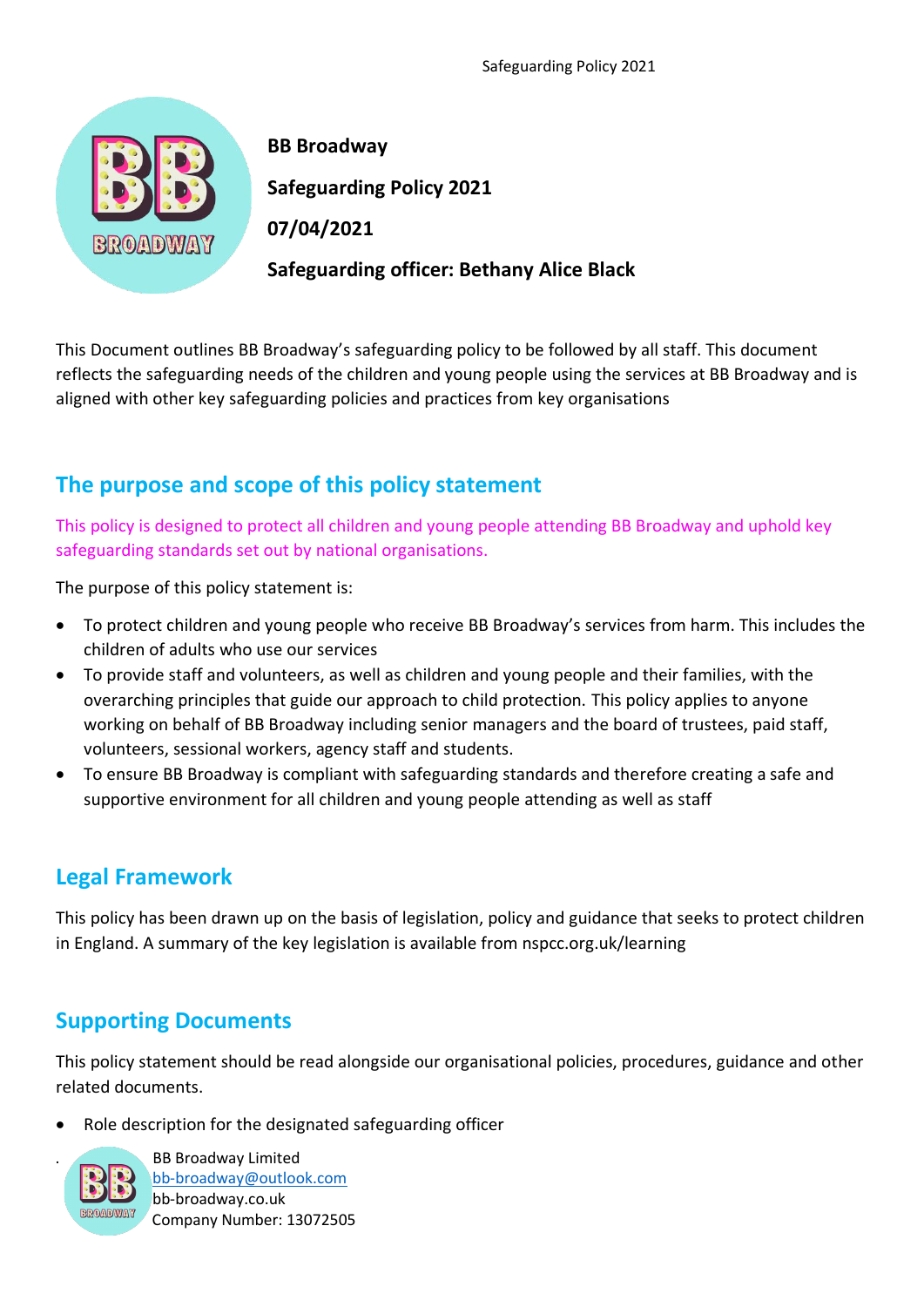

 **BB Broadway Safeguarding Policy 2021 Safeguarding officer: Bethany Alice Black** 

This Document outlines BB Broadway's safeguarding policy to be followed by all staff. This document reflects the safeguarding needs of the children and young people using the services at BB Broadway and is aligned with other key safeguarding policies and practices from key organisations

# **The purpose and scope of this policy statement**

This policy is designed to protect all children and young people attending BB Broadway and uphold key safeguarding standards set out by national organisations.

The purpose of this policy statement is:

- To protect children and young people who receive BB Broadway's services from harm. This includes the children of adults who use our services
- To provide staff and volunteers, as well as children and young people and their families, with the overarching principles that guide our approach to child protection. This policy applies to anyone working on behalf of BB Broadway including senior managers and the board of trustees, paid staff, volunteers, sessional workers, agency staff and students.
- To ensure BB Broadway is compliant with safeguarding standards and therefore creating a safe and supportive environment for all children and young people attending as well as staff

# **Legal Framework**

This policy has been drawn up on the basis of legislation, policy and guidance that seeks to protect children in England. A summary of the key legislation is available from nspcc.org.uk/learning

## **Supporting Documents**

This policy statement should be read alongside our organisational policies, procedures, guidance and other related documents.

• Role description for the designated safeguarding officer



. BB Broadway Limited [bb-broadway@outlook.com](http://www.bb-broadway@outlook.com/) bb-broadway.co.uk Company Number: 13072505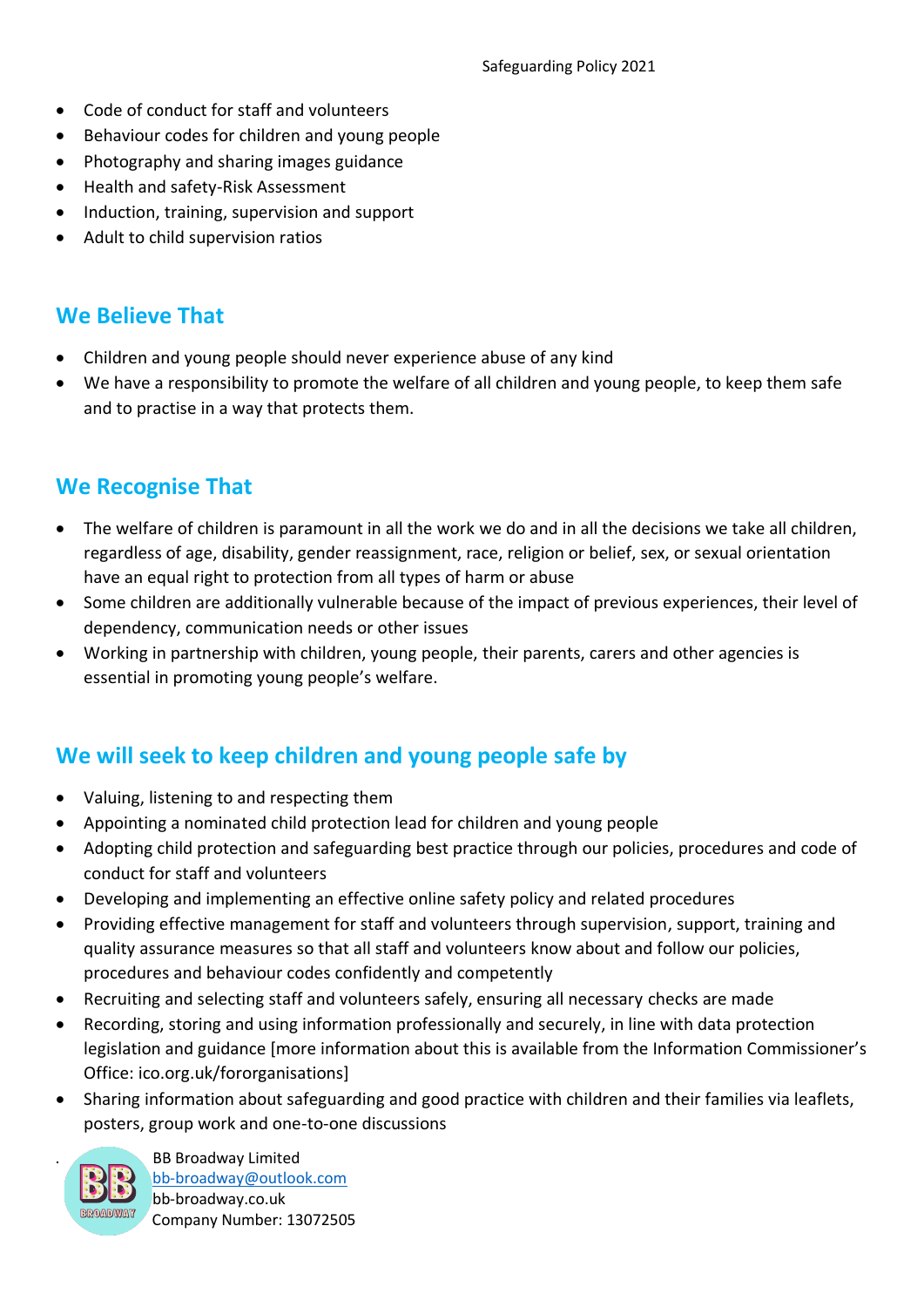- Code of conduct for staff and volunteers
- Behaviour codes for children and young people
- Photography and sharing images guidance
- Health and safety-Risk Assessment
- Induction, training, supervision and support
- Adult to child supervision ratios

### **We Believe That**

- Children and young people should never experience abuse of any kind
- We have a responsibility to promote the welfare of all children and young people, to keep them safe and to practise in a way that protects them.

### **We Recognise That**

- The welfare of children is paramount in all the work we do and in all the decisions we take all children, regardless of age, disability, gender reassignment, race, religion or belief, sex, or sexual orientation have an equal right to protection from all types of harm or abuse
- Some children are additionally vulnerable because of the impact of previous experiences, their level of dependency, communication needs or other issues
- Working in partnership with children, young people, their parents, carers and other agencies is essential in promoting young people's welfare.

## **We will seek to keep children and young people safe by**

- Valuing, listening to and respecting them
- Appointing a nominated child protection lead for children and young people
- Adopting child protection and safeguarding best practice through our policies, procedures and code of conduct for staff and volunteers
- Developing and implementing an effective online safety policy and related procedures
- Providing effective management for staff and volunteers through supervision, support, training and quality assurance measures so that all staff and volunteers know about and follow our policies, procedures and behaviour codes confidently and competently
- Recruiting and selecting staff and volunteers safely, ensuring all necessary checks are made
- Recording, storing and using information professionally and securely, in line with data protection legislation and guidance [more information about this is available from the Information Commissioner's Office: ico.org.uk/fororganisations]
- Sharing information about safeguarding and good practice with children and their families via leaflets, posters, group work and one-to-one discussions



. BB Broadway Limited [bb-broadway@outlook.com](http://www.bb-broadway@outlook.com/) bb-broadway.co.uk Company Number: 13072505